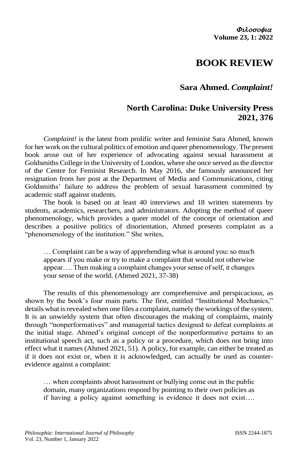Φιλοσοφια **Volume 23, 1: 2022**

## **BOOK REVIEW**

## **Sara Ahmed.** *Complaint!*

## **North Carolina: Duke University Press 2021, 376**

*Complaint!* is the latest from prolific writer and feminist Sara Ahmed, known for her work on the cultural politics of emotion and queer phenomenology. The present book arose out of her experience of advocating against sexual harassment at Goldsmiths College in the University of London, where she once served as the director of the Centre for Feminist Research. In May 2016, she famously announced her resignation from her post at the Department of Media and Communications, citing Goldsmiths' failure to address the problem of sexual harassment committed by academic staff against students.

The book is based on at least 40 interviews and 18 written statements by students, academics, researchers, and administrators. Adopting the method of queer phenomenology, which provides a queer model of the concept of orientation and describes a positive politics of disorientation, Ahmed presents complaint as a "phenomenology of the institution." She writes,

… Complaint can be a way of apprehending what is around you: so much appears if you make or try to make a complaint that would not otherwise appear…. Then making a complaint changes your sense of self, it changes your sense of the world. (Ahmed 2021, 37-38)

The results of this phenomenology are comprehensive and perspicacious, as shown by the book's four main parts. The first, entitled "Institutional Mechanics," details what is revealed when one files a complaint, namely the workings of the system. It is an unwieldy system that often discourages the making of complaints, mainly through "nonperformatives" and managerial tactics designed to defeat complaints at the initial stage. Ahmed's original concept of the nonperformative pertains to an institutional speech act, such as a policy or a procedure, which does not bring into effect what it names (Ahmed 2021, 51). A policy, for example, can either be treated as if it does not exist or, when it is acknowledged, can actually be used as counterevidence against a complaint:

… when complaints about harassment or bullying come out in the public domain, many organizations respond by pointing to their own policies as if having a policy against something is evidence it does not exist….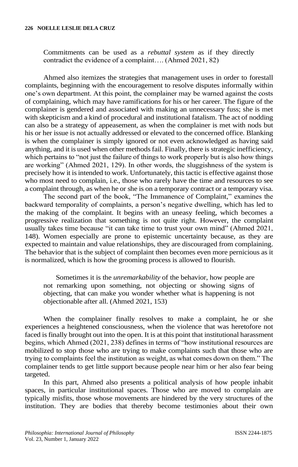## **226 NOELLE LESLIE DELA CRUZ**

Commitments can be used as a *rebuttal system* as if they directly contradict the evidence of a complaint…. (Ahmed 2021, 82)

Ahmed also itemizes the strategies that management uses in order to forestall complaints, beginning with the encouragement to resolve disputes informally within one's own department. At this point, the complainer may be warned against the costs of complaining, which may have ramifications for his or her career. The figure of the complainer is gendered and associated with making an unnecessary fuss; she is met with skepticism and a kind of procedural and institutional fatalism. The act of nodding can also be a strategy of appeasement, as when the complainer is met with nods but his or her issue is not actually addressed or elevated to the concerned office. Blanking is when the complainer is simply ignored or not even acknowledged as having said anything, and it is used when other methods fail. Finally, there is strategic inefficiency, which pertains to "not just the failure of things to work properly but is also how things are working" (Ahmed 2021, 129). In other words, the sluggishness of the system is precisely how it is intended to work. Unfortunately, this tactic is effective against those who most need to complain, i.e., those who rarely have the time and resources to see a complaint through, as when he or she is on a temporary contract or a temporary visa.

The second part of the book, "The Immanence of Complaint," examines the backward temporality of complaints, a person's negative dwelling, which has led to the making of the complaint. It begins with an uneasy feeling, which becomes a progressive realization that something is not quite right. However, the complaint usually takes time because "it can take time to trust your own mind" (Ahmed 2021, 148). Women especially are prone to epistemic uncertainty because, as they are expected to maintain and value relationships, they are discouraged from complaining. The behavior that is the subject of complaint then becomes even more pernicious as it is normalized, which is how the grooming process is allowed to flourish.

Sometimes it is the *unremarkability* of the behavior, how people are not remarking upon something, not objecting or showing signs of objecting, that can make you wonder whether what is happening is not objectionable after all. (Ahmed 2021, 153)

When the complainer finally resolves to make a complaint, he or she experiences a heightened consciousness, when the violence that was heretofore not faced is finally brought out into the open. It is at this point that institutional harassment begins, which Ahmed (2021, 238) defines in terms of "how institutional resources are mobilized to stop those who are trying to make complaints such that those who are trying to complaints feel the institution as weight, as what comes down on them." The complainer tends to get little support because people near him or her also fear being targeted.

In this part, Ahmed also presents a political analysis of how people inhabit spaces, in particular institutional spaces. Those who are moved to complain are typically misfits, those whose movements are hindered by the very structures of the institution. They are bodies that thereby become testimonies about their own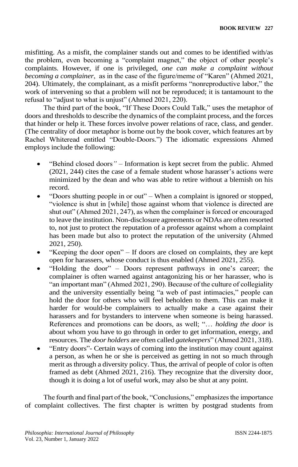misfitting. As a misfit, the complainer stands out and comes to be identified with/as the problem, even becoming a "complaint magnet," the object of other people's complaints. However, if one is privileged, *one can make a complaint without becoming a complainer*, as in the case of the figure/meme of "Karen" (Ahmed 2021, 204). Ultimately, the complainant, as a misfit performs "nonreproductive labor," the work of intervening so that a problem will not be reproduced; it is tantamount to the refusal to "adjust to what is unjust" (Ahmed 2021, 220).

The third part of the book, "If These Doors Could Talk," uses the metaphor of doors and thresholds to describe the dynamics of the complaint process, and the forces that hinder or help it. These forces involve power relations of race, class, and gender. (The centrality of door metaphor is borne out by the book cover, which features art by Rachel Whiteread entitled "Double-Doors.") The idiomatic expressions Ahmed employs include the following:

- "Behind closed doors*" –* Information is kept secret from the public. Ahmed (2021, 244) cites the case of a female student whose harasser's actions were minimized by the dean and who was able to retire without a blemish on his record.
- "Doors shutting people in or out" When a complaint is ignored or stopped, "violence is shut in [while] those against whom that violence is directed are shut out" (Ahmed 2021, 247), as when the complainer is forced or encouraged to leave the institution. Non-disclosure agreements or NDAs are often resorted to, not just to protect the reputation of a professor against whom a complaint has been made but also to protect the reputation of the university (Ahmed 2021, 250).
- "Keeping the door open" If doors are closed on complaints, they are kept open for harassers, whose conduct is thus enabled (Ahmed 2021, 255).
- "Holding the door" Doors represent pathways in one's career; the complainer is often warned against antagonizing his or her harasser, who is "an important man" (Ahmed 2021, 290). Because of the culture of collegiality and the university essentially being "a web of past intimacies," people can hold the door for others who will feel beholden to them. This can make it harder for would-be complainers to actually make a case against their harassers and for bystanders to intervene when someone is being harassed. References and promotions can be doors, as well; "… *holding the door* is about whom you have to go through in order to get information, energy, and resources. The *door holders* are often called *gatekeepers*" (Ahmed 2021, 318).
- "Entry doors"- Certain ways of coming into the institution may count against a person, as when he or she is perceived as getting in not so much through merit as through a diversity policy. Thus, the arrival of people of color is often framed as debt (Ahmed 2021, 216). They recognize that the diversity door, though it is doing a lot of useful work, may also be shut at any point.

The fourth and final part of the book, "Conclusions," emphasizes the importance of complaint collectives. The first chapter is written by postgrad students from